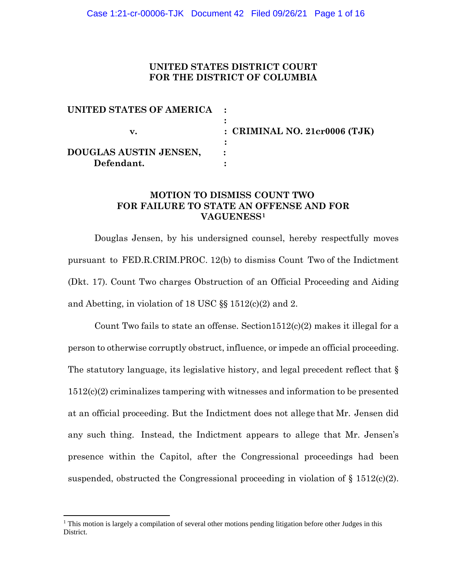### **UNITED STATES DISTRICT COURT FOR THE DISTRICT OF COLUMBIA**

| UNITED STATES OF AMERICA |                                 |
|--------------------------|---------------------------------|
|                          | : CRIMINAL NO. $21cr0006$ (TJK) |
| DOUGLAS AUSTIN JENSEN,   |                                 |
| Defendant.               |                                 |

### **MOTION TO DISMISS COUNT TWO FOR FAILURE TO STATE AN OFFENSE AND FOR VAGUENESS1**

Douglas Jensen, by his undersigned counsel, hereby respectfully moves pursuant to FED.R.CRIM.PROC. 12(b) to dismiss Count Two of the Indictment (Dkt. 17). Count Two charges Obstruction of an Official Proceeding and Aiding and Abetting, in violation of 18 USC §§ 1512(c)(2) and 2.

Count Two fails to state an offense. Section  $1512(c)(2)$  makes it illegal for a person to otherwise corruptly obstruct, influence, or impede an official proceeding. The statutory language, its legislative history, and legal precedent reflect that  $\S$ 1512(c)(2) criminalizes tampering with witnesses and information to be presented at an official proceeding. But the Indictment does not allege that Mr. Jensen did any such thing. Instead, the Indictment appears to allege that Mr. Jensen's presence within the Capitol, after the Congressional proceedings had been suspended, obstructed the Congressional proceeding in violation of  $\S 1512(c)(2)$ .

<sup>&</sup>lt;sup>1</sup> This motion is largely a compilation of several other motions pending litigation before other Judges in this District.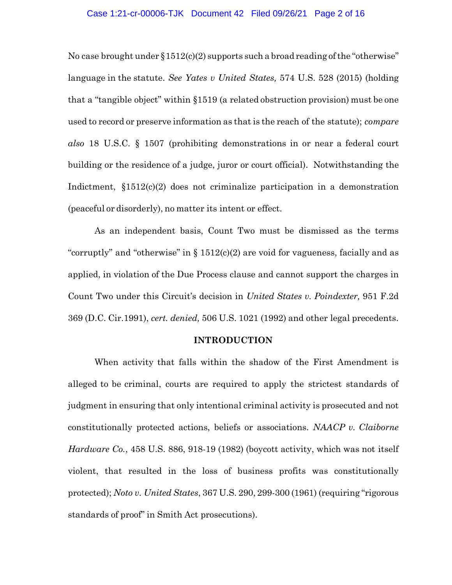#### Case 1:21-cr-00006-TJK Document 42 Filed 09/26/21 Page 2 of 16

No case brought under  $\S 1512(c)(2)$  supports such a broad reading of the "otherwise" language in the statute. *See Yates v United States,* 574 U.S. 528 (2015) (holding that a "tangible object" within §1519 (a related obstruction provision) must be one used to record or preserve information as that is the reach of the statute); *compare also* 18 U.S.C. § 1507 (prohibiting demonstrations in or near a federal court building or the residence of a judge, juror or court official). Notwithstanding the Indictment,  $§1512(c)(2)$  does not criminalize participation in a demonstration (peaceful or disorderly), no matter its intent or effect.

As an independent basis, Count Two must be dismissed as the terms "corruptly" and "otherwise" in  $\S 1512(c)(2)$  are void for vagueness, facially and as applied, in violation of the Due Process clause and cannot support the charges in Count Two under this Circuit's decision in *United States v. Poindexter,* 951 F.2d 369 (D.C. Cir.1991), *cert. denied,* 506 U.S. 1021 (1992) and other legal precedents.

#### **INTRODUCTION**

When activity that falls within the shadow of the First Amendment is alleged to be criminal, courts are required to apply the strictest standards of judgment in ensuring that only intentional criminal activity is prosecuted and not constitutionally protected actions, beliefs or associations. *NAACP v. Claiborne Hardware Co.*, 458 U.S. 886, 918-19 (1982) (boycott activity, which was not itself violent, that resulted in the loss of business profits was constitutionally protected); *Noto v. United States*, 367 U.S. 290, 299-300 (1961) (requiring "rigorous standards of proof" in Smith Act prosecutions).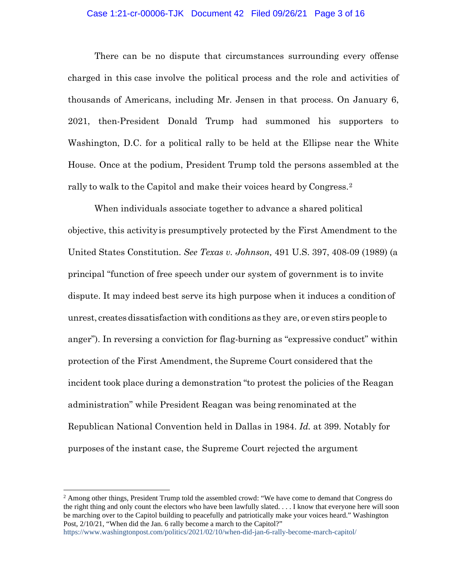### Case 1:21-cr-00006-TJK Document 42 Filed 09/26/21 Page 3 of 16

There can be no dispute that circumstances surrounding every offense charged in this case involve the political process and the role and activities of thousands of Americans, including Mr. Jensen in that process. On January 6, 2021, then-President Donald Trump had summoned his supporters to Washington, D.C. for a political rally to be held at the Ellipse near the White House. Once at the podium, President Trump told the persons assembled at the rally to walk to the Capitol and make their voices heard by Congress.2

When individuals associate together to advance a shared political objective, this activityis presumptively protected by the First Amendment to the United States Constitution. *See Texas v. Johnson,* 491 U.S. 397, 408-09 (1989) (a principal "function of free speech under our system of government is to invite dispute. It may indeed best serve its high purpose when it induces a condition of unrest, creates dissatisfaction with conditions as they are, or even stirs people to anger"). In reversing a conviction for flag-burning as "expressive conduct" within protection of the First Amendment, the Supreme Court considered that the incident took place during a demonstration "to protest the policies of the Reagan administration" while President Reagan was being renominated at the Republican National Convention held in Dallas in 1984. *Id.* at 399. Notably for purposes of the instant case, the Supreme Court rejected the argument

<sup>&</sup>lt;sup>2</sup> Among other things, President Trump told the assembled crowd: "We have come to demand that Congress do the right thing and only count the electors who have been lawfully slated. . . . I know that everyone here will soon be marching over to the Capitol building to peacefully and patriotically make your voices heard." Washington Post, 2/10/21, "When did the Jan. 6 rally become a march to the Capitol?"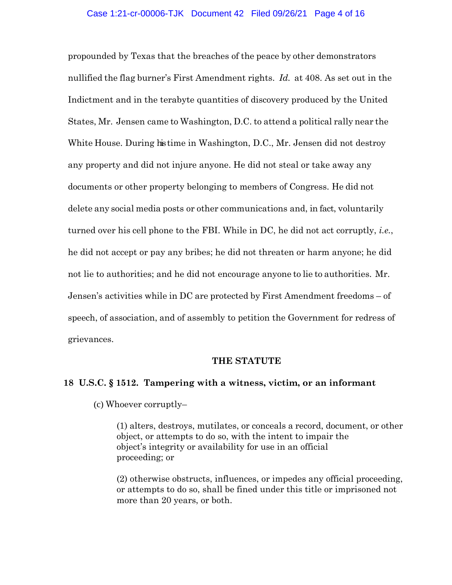propounded by Texas that the breaches of the peace by other demonstrators nullified the flag burner's First Amendment rights. *Id.* at 408. As set out in the Indictment and in the terabyte quantities of discovery produced by the United States, Mr. Jensen came to Washington, D.C. to attend a political rally near the White House. During histime in Washington, D.C., Mr. Jensen did not destroy any property and did not injure anyone. He did not steal or take away any documents or other property belonging to members of Congress. He did not delete any social media posts or other communications and, in fact, voluntarily turned over his cell phone to the FBI. While in DC, he did not act corruptly, *i.e.*, he did not accept or pay any bribes; he did not threaten or harm anyone; he did not lie to authorities; and he did not encourage anyone to lie to authorities. Mr. Jensen's activities while in DC are protected by First Amendment freedoms – of speech, of association, and of assembly to petition the Government for redress of grievances.

#### **THE STATUTE**

### **18 U.S.C. § 1512. Tampering with a witness, victim, or an informant**

(c) Whoever corruptly–

(1) alters, destroys, mutilates, or conceals a record, document, or other object, or attempts to do so, with the intent to impair the object's integrity or availability for use in an official proceeding; or

(2) otherwise obstructs, influences, or impedes any official proceeding, or attempts to do so, shall be fined under this title or imprisoned not more than 20 years, or both.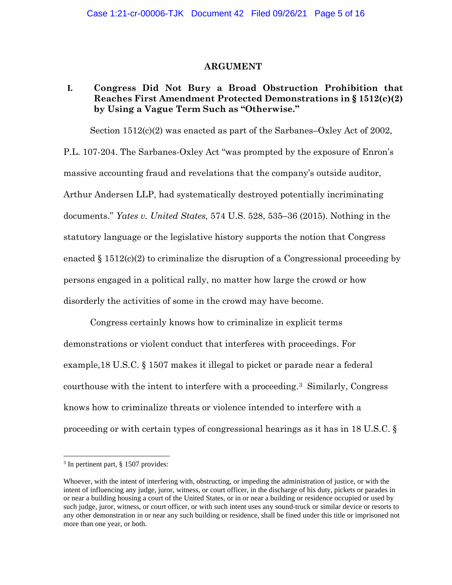### **ARGUMENT**

# **I. Congress Did Not Bury a Broad Obstruction Prohibition that Reaches First Amendment Protected Demonstrations in § 1512(c)(2) by Using a Vague Term Such as "Otherwise."**

Section 1512(c)(2) was enacted as part of the Sarbanes–Oxley Act of 2002,

P.L. 107-204. The Sarbanes-Oxley Act "was prompted by the exposure of Enron's massive accounting fraud and revelations that the company's outside auditor, Arthur Andersen LLP, had systematically destroyed potentially incriminating documents." *Yates v. United States,* 574 U.S. 528, 535–36 (2015). Nothing in the statutory language or the legislative history supports the notion that Congress enacted  $\S 1512(c)(2)$  to criminalize the disruption of a Congressional proceeding by persons engaged in a political rally, no matter how large the crowd or how disorderly the activities of some in the crowd may have become.

Congress certainly knows how to criminalize in explicit terms demonstrations or violent conduct that interferes with proceedings. For example,18 U.S.C. § 1507 makes it illegal to picket or parade near a federal courthouse with the intent to interfere with a proceeding.3 Similarly, Congress knows how to criminalize threats or violence intended to interfere with a proceeding or with certain types of congressional hearings as it has in 18 U.S.C. §

<sup>3</sup> In pertinent part, § 1507 provides:

Whoever, with the intent of interfering with, obstructing, or impeding the administration of justice, or with the intent of influencing any judge, juror, witness, or court officer, in the discharge of his duty, pickets or parades in or near a building housing a court of the United States, or in or near a building or residence occupied or used by such judge, juror, witness, or court officer, or with such intent uses any sound-truck or similar device or resorts to any other demonstration in or near any such building or residence, shall be fined under this title or imprisoned not more than one year, or both.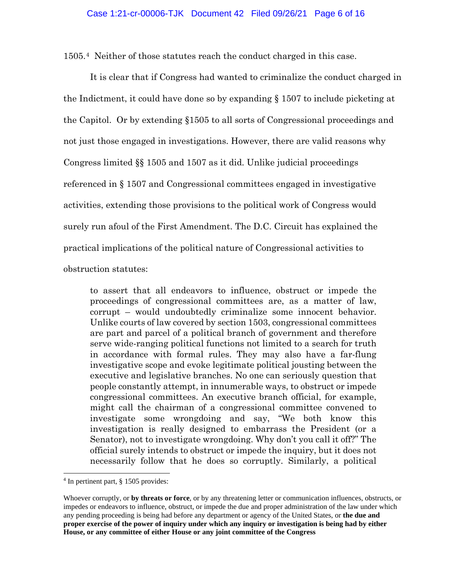1505.4 Neither of those statutes reach the conduct charged in this case.

It is clear that if Congress had wanted to criminalize the conduct charged in the Indictment, it could have done so by expanding § 1507 to include picketing at the Capitol. Or by extending §1505 to all sorts of Congressional proceedings and not just those engaged in investigations. However, there are valid reasons why Congress limited §§ 1505 and 1507 as it did. Unlike judicial proceedings referenced in § 1507 and Congressional committees engaged in investigative activities, extending those provisions to the political work of Congress would surely run afoul of the First Amendment. The D.C. Circuit has explained the practical implications of the political nature of Congressional activities to obstruction statutes:

to assert that all endeavors to influence, obstruct or impede the proceedings of congressional committees are, as a matter of law, corrupt – would undoubtedly criminalize some innocent behavior. Unlike courts of law covered by section 1503, congressional committees are part and parcel of a political branch of government and therefore serve wide-ranging political functions not limited to a search for truth in accordance with formal rules. They may also have a far-flung investigative scope and evoke legitimate political jousting between the executive and legislative branches. No one can seriously question that people constantly attempt, in innumerable ways, to obstruct or impede congressional committees. An executive branch official, for example, might call the chairman of a congressional committee convened to investigate some wrongdoing and say, "We both know this investigation is really designed to embarrass the President (or a Senator), not to investigate wrongdoing. Why don't you call it off?" The official surely intends to obstruct or impede the inquiry, but it does not necessarily follow that he does so corruptly. Similarly, a political

<sup>4</sup> In pertinent part, § 1505 provides:

Whoever corruptly, or **by threats or force**, or by any threatening letter or communication influences, obstructs, or impedes or endeavors to influence, obstruct, or impede the due and proper administration of the law under which any pending proceeding is being had before any department or agency of the United States, or **the due and proper exercise of the power of inquiry under which any inquiry or investigation is being had by either House, or any committee of either House or any joint committee of the Congress**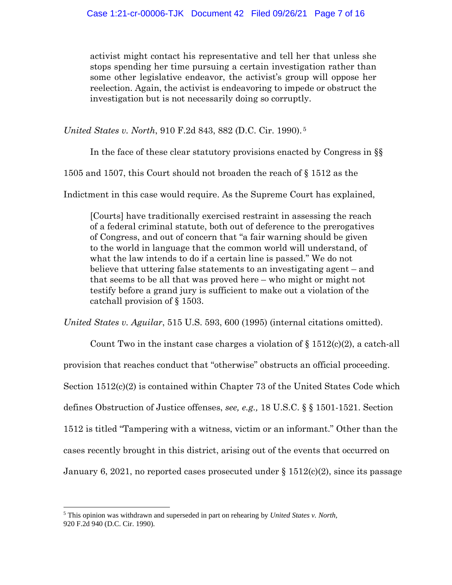activist might contact his representative and tell her that unless she stops spending her time pursuing a certain investigation rather than some other legislative endeavor, the activist's group will oppose her reelection. Again, the activist is endeavoring to impede or obstruct the investigation but is not necessarily doing so corruptly.

*United States v. North*, 910 F.2d 843, 882 (D.C. Cir. 1990). <sup>5</sup>

In the face of these clear statutory provisions enacted by Congress in §§

1505 and 1507, this Court should not broaden the reach of § 1512 as the

Indictment in this case would require. As the Supreme Court has explained,

[Courts] have traditionally exercised restraint in assessing the reach of a federal criminal statute, both out of deference to the prerogatives of Congress, and out of concern that "a fair warning should be given to the world in language that the common world will understand, of what the law intends to do if a certain line is passed." We do not believe that uttering false statements to an investigating agent – and that seems to be all that was proved here – who might or might not testify before a grand jury is sufficient to make out a violation of the catchall provision of § 1503.

*United States v. Aguilar*, 515 U.S. 593, 600 (1995) (internal citations omitted).

Count Two in the instant case charges a violation of  $\S 1512(c)(2)$ , a catch-all provision that reaches conduct that "otherwise" obstructs an official proceeding. Section 1512(c)(2) is contained within Chapter 73 of the United States Code which defines Obstruction of Justice offenses, *see, e.g.,* 18 U.S.C. § § 1501-1521. Section 1512 is titled "Tampering with a witness, victim or an informant." Other than the cases recently brought in this district, arising out of the events that occurred on January 6, 2021, no reported cases prosecuted under  $\S 1512(c)(2)$ , since its passage

<sup>5</sup> This opinion was withdrawn and superseded in part on rehearing by *United States v. North,* 920 F.2d 940 (D.C. Cir. 1990).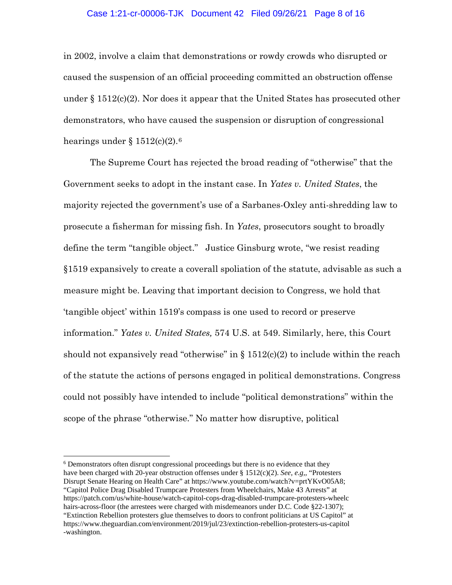### Case 1:21-cr-00006-TJK Document 42 Filed 09/26/21 Page 8 of 16

in 2002, involve a claim that demonstrations or rowdy crowds who disrupted or caused the suspension of an official proceeding committed an obstruction offense under § 1512(c)(2). Nor does it appear that the United States has prosecuted other demonstrators, who have caused the suspension or disruption of congressional hearings under  $\S 1512(c)(2).6$ 

The Supreme Court has rejected the broad reading of "otherwise" that the Government seeks to adopt in the instant case. In *Yates v. United States*, the majority rejected the government's use of a Sarbanes-Oxley anti-shredding law to prosecute a fisherman for missing fish. In *Yates*, prosecutors sought to broadly define the term "tangible object." Justice Ginsburg wrote, "we resist reading §1519 expansively to create a coverall spoliation of the statute, advisable as such a measure might be. Leaving that important decision to Congress, we hold that 'tangible object' within 1519's compass is one used to record or preserve information." *Yates v. United States,* 574 U.S. at 549. Similarly, here, this Court should not expansively read "otherwise" in  $\S 1512(c)(2)$  to include within the reach of the statute the actions of persons engaged in political demonstrations. Congress could not possibly have intended to include "political demonstrations" within the scope of the phrase "otherwise." No matter how disruptive, political

<sup>6</sup> Demonstrators often disrupt congressional proceedings but there is no evidence that they have been charged with 20-year obstruction offenses under § 1512(c)(2). *See, e.g,,* "Protesters Disrupt Senate Hearing on Health Care" at https://www.youtube.com/watch?v=prtYKvO05A8; "Capitol Police Drag Disabled Trumpcare Protesters from Wheelchairs, Make 43 Arrests" at https://patch.com/us/white-house/watch-capitol-cops-drag-disabled-trumpcare-protesters-wheelc hairs-across-floor (the arrestees were charged with misdemeanors under D.C. Code §22-1307); "Extinction Rebellion protesters glue themselves to doors to confront politicians at US Capitol" at https://www.theguardian.com/environment/2019/jul/23/extinction-rebellion-protesters-us-capitol -washington.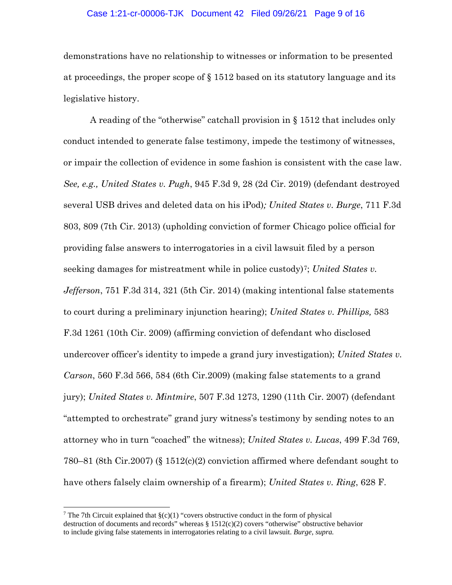#### Case 1:21-cr-00006-TJK Document 42 Filed 09/26/21 Page 9 of 16

demonstrations have no relationship to witnesses or information to be presented at proceedings, the proper scope of § 1512 based on its statutory language and its legislative history.

A reading of the "otherwise" catchall provision in § 1512 that includes only conduct intended to generate false testimony, impede the testimony of witnesses, or impair the collection of evidence in some fashion is consistent with the case law. *See, e.g., United States v. Pugh*, 945 F.3d 9, 28 (2d Cir. 2019) (defendant destroyed several USB drives and deleted data on his iPod)*; United States v. Burge*, 711 F.3d 803, 809 (7th Cir. 2013) (upholding conviction of former Chicago police official for providing false answers to interrogatories in a civil lawsuit filed by a person seeking damages for mistreatment while in police custody)<sup>7</sup>; *United States v. Jefferson*, 751 F.3d 314, 321 (5th Cir. 2014) (making intentional false statements to court during a preliminary injunction hearing); *United States v. Phillips,* 583 F.3d 1261 (10th Cir. 2009) (affirming conviction of defendant who disclosed undercover officer's identity to impede a grand jury investigation); *United States v. Carson*, 560 F.3d 566, 584 (6th Cir.2009) (making false statements to a grand jury); *United States v. Mintmire*, 507 F.3d 1273, 1290 (11th Cir. 2007) (defendant "attempted to orchestrate" grand jury witness's testimony by sending notes to an attorney who in turn "coached" the witness); *United States v. Lucas*, 499 F.3d 769, 780–81 (8th Cir.2007) (§ 1512(c)(2) conviction affirmed where defendant sought to have others falsely claim ownership of a firearm); *United States v. Ring*, 628 F.

<sup>&</sup>lt;sup>7</sup> The 7th Circuit explained that  $\S(c)(1)$  "covers obstructive conduct in the form of physical destruction of documents and records" whereas § 1512(c)(2) covers "otherwise" obstructive behavior to include giving false statements in interrogatories relating to a civil lawsuit. *Burge*, *supra.*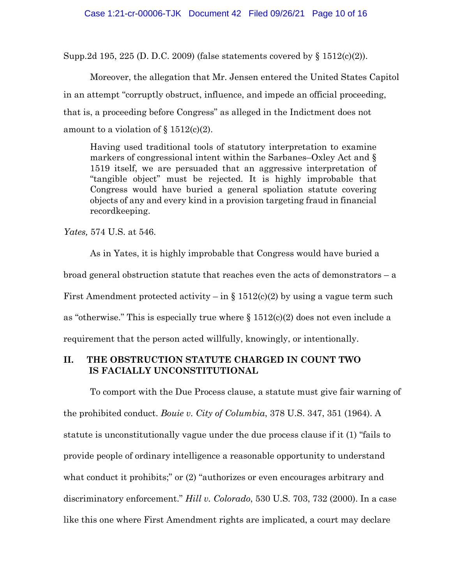Supp.2d 195, 225 (D. D.C. 2009) (false statements covered by § 1512(c)(2)).

Moreover, the allegation that Mr. Jensen entered the United States Capitol in an attempt "corruptly obstruct, influence, and impede an official proceeding, that is, a proceeding before Congress" as alleged in the Indictment does not amount to a violation of  $\S 1512(c)(2)$ .

Having used traditional tools of statutory interpretation to examine markers of congressional intent within the Sarbanes–Oxley Act and § 1519 itself, we are persuaded that an aggressive interpretation of "tangible object" must be rejected. It is highly improbable that Congress would have buried a general spoliation statute covering objects of any and every kind in a provision targeting fraud in financial recordkeeping.

*Yates,* 574 U.S. at 546.

As in Yates, it is highly improbable that Congress would have buried a broad general obstruction statute that reaches even the acts of demonstrators – a First Amendment protected activity – in § 1512(c)(2) by using a vague term such as "otherwise." This is especially true where  $\S$  1512(c)(2) does not even include a requirement that the person acted willfully, knowingly, or intentionally.

# **II. THE OBSTRUCTION STATUTE CHARGED IN COUNT TWO IS FACIALLY UNCONSTITUTIONAL**

To comport with the Due Process clause, a statute must give fair warning of the prohibited conduct. *Bouie v. City of Columbia*, 378 U.S. 347, 351 (1964). A statute is unconstitutionally vague under the due process clause if it (1) "fails to provide people of ordinary intelligence a reasonable opportunity to understand what conduct it prohibits;" or  $(2)$  "authorizes or even encourages arbitrary and discriminatory enforcement." *Hill v. Colorado*, 530 U.S. 703, 732 (2000). In a case like this one where First Amendment rights are implicated, a court may declare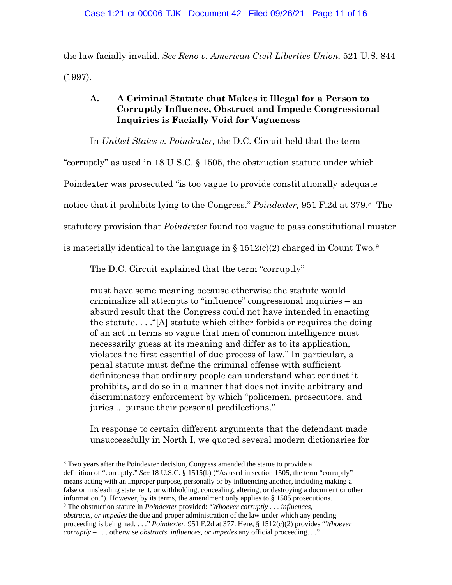the law facially invalid. *See Reno v. American Civil Liberties Union,* 521 U.S. 844 (1997).

# **A. A Criminal Statute that Makes it Illegal for a Person to Corruptly Influence, Obstruct and Impede Congressional Inquiries is Facially Void for Vagueness**

In *United States v. Poindexter,* the D.C. Circuit held that the term

"corruptly" as used in 18 U.S.C. § 1505, the obstruction statute under which

Poindexter was prosecuted "is too vague to provide constitutionally adequate

notice that it prohibits lying to the Congress." *Poindexter,* 951 F.2d at 379.8 The

statutory provision that *Poindexter* found too vague to pass constitutional muster

is materially identical to the language in  $\S 1512(c)(2)$  charged in Count Two.<sup>9</sup>

The D.C. Circuit explained that the term "corruptly"

must have some meaning because otherwise the statute would criminalize all attempts to "influence" congressional inquiries – an absurd result that the Congress could not have intended in enacting the statute. . . ."[A] statute which either forbids or requires the doing of an act in terms so vague that men of common intelligence must necessarily guess at its meaning and differ as to its application, violates the first essential of due process of law." In particular, a penal statute must define the criminal offense with sufficient definiteness that ordinary people can understand what conduct it prohibits, and do so in a manner that does not invite arbitrary and discriminatory enforcement by which "policemen, prosecutors, and juries ... pursue their personal predilections."

In response to certain different arguments that the defendant made unsuccessfully in North I, we quoted several modern dictionaries for

<sup>8</sup> Two years after the Poindexter decision, Congress amended the statue to provide a definition of "corruptly." *See* 18 U.S.C. § 1515(b) ("As used in section 1505, the term "corruptly" means acting with an improper purpose, personally or by influencing another, including making a false or misleading statement, or withholding, concealing, altering, or destroying a document or other information."). However, by its terms, the amendment only applies to  $\S$  1505 prosecutions.

<sup>9</sup> The obstruction statute in *Poindexter* provided: "*Whoever corruptly* . . *. influences, obstructs, or impedes* the due and proper administration of the law under which any pending proceeding is being had. . . ." *Poindexter*, 951 F.2d at 377. Here, § 1512(c)(2) provides "*Whoever corruptly – . . .* otherwise *obstructs, influences, or impedes* any official proceeding. . ."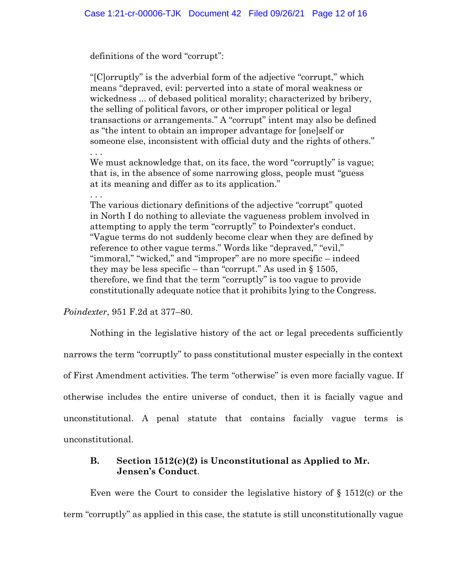definitions of the word "corrupt":

"[C]orruptly" is the adverbial form of the adjective "corrupt," which means "depraved, evil: perverted into a state of moral weakness or wickedness ... of debased political morality; characterized by bribery, the selling of political favors, or other improper political or legal transactions or arrangements." A "corrupt" intent may also be defined as "the intent to obtain an improper advantage for [one]self or someone else, inconsistent with official duty and the rights of others."

We must acknowledge that, on its face, the word "corruptly" is vague; that is, in the absence of some narrowing gloss, people must "guess at its meaning and differ as to its application."

. . . The various dictionary definitions of the adjective "corrupt" quoted in North I do nothing to alleviate the vagueness problem involved in attempting to apply the term "corruptly" to Poindexter's conduct. "Vague terms do not suddenly become clear when they are defined by reference to other vague terms." Words like "depraved," "evil," "immoral," "wicked," and "improper" are no more specific – indeed they may be less specific – than "corrupt." As used in  $\S 1505$ , therefore, we find that the term "corruptly" is too vague to provide constitutionally adequate notice that it prohibits lying to the Congress.

*Poindexter*, 951 F.2d at 377–80.

. . .

Nothing in the legislative history of the act or legal precedents sufficiently narrows the term "corruptly" to pass constitutional muster especially in the context of First Amendment activities. The term "otherwise" is even more facially vague. If otherwise includes the entire universe of conduct, then it is facially vague and unconstitutional. A penal statute that contains facially vague terms is unconstitutional.

# **B. Section 1512(c)(2) is Unconstitutional as Applied to Mr. Jensen's Conduct**.

Even were the Court to consider the legislative history of  $\S$  1512(c) or the term "corruptly" as applied in this case, the statute is still unconstitutionally vague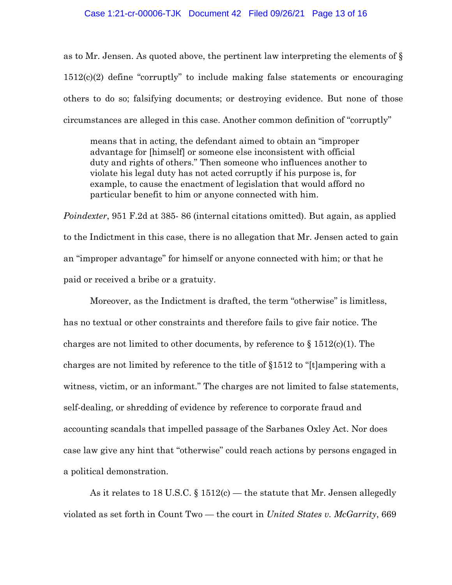#### Case 1:21-cr-00006-TJK Document 42 Filed 09/26/21 Page 13 of 16

as to Mr. Jensen. As quoted above, the pertinent law interpreting the elements of § 1512(c)(2) define "corruptly" to include making false statements or encouraging others to do so; falsifying documents; or destroying evidence. But none of those circumstances are alleged in this case. Another common definition of "corruptly"

means that in acting, the defendant aimed to obtain an "improper advantage for [himself] or someone else inconsistent with official duty and rights of others." Then someone who influences another to violate his legal duty has not acted corruptly if his purpose is, for example, to cause the enactment of legislation that would afford no particular benefit to him or anyone connected with him.

*Poindexter*, 951 F.2d at 385- 86 (internal citations omitted). But again, as applied to the Indictment in this case, there is no allegation that Mr. Jensen acted to gain an "improper advantage" for himself or anyone connected with him; or that he paid or received a bribe or a gratuity.

Moreover, as the Indictment is drafted, the term "otherwise" is limitless, has no textual or other constraints and therefore fails to give fair notice. The charges are not limited to other documents, by reference to  $\S 1512(c)(1)$ . The charges are not limited by reference to the title of §1512 to "[t]ampering with a witness, victim, or an informant." The charges are not limited to false statements, self-dealing, or shredding of evidence by reference to corporate fraud and accounting scandals that impelled passage of the Sarbanes Oxley Act. Nor does case law give any hint that "otherwise" could reach actions by persons engaged in a political demonstration.

As it relates to 18 U.S.C.  $\S 1512(c)$  — the statute that Mr. Jensen allegedly violated as set forth in Count Two — the court in *United States v. McGarrity*, 669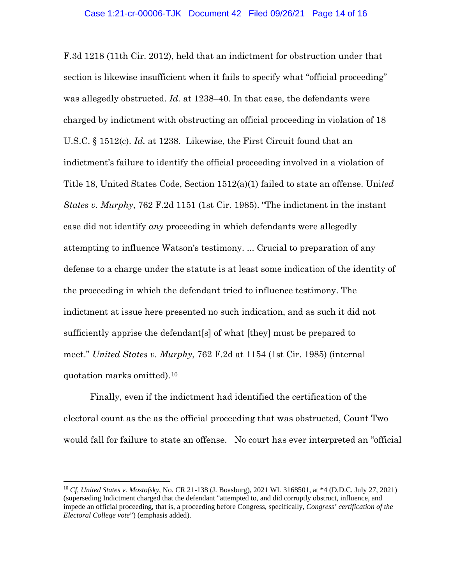F.3d 1218 (11th Cir. 2012), held that an indictment for obstruction under that section is likewise insufficient when it fails to specify what "official proceeding" was allegedly obstructed. *Id.* at 1238–40. In that case, the defendants were charged by indictment with obstructing an official proceeding in violation of 18 U.S.C. § 1512(c). *Id.* at 1238. Likewise, the First Circuit found that an indictment's failure to identify the official proceeding involved in a violation of Title 18, United States Code, Section 1512(a)(1) failed to state an offense. Uni*ted States v. Murphy*, 762 F.2d 1151 (1st Cir. 1985). "The indictment in the instant case did not identify *any* proceeding in which defendants were allegedly attempting to influence Watson's testimony. ... Crucial to preparation of any defense to a charge under the statute is at least some indication of the identity of the proceeding in which the defendant tried to influence testimony. The indictment at issue here presented no such indication, and as such it did not sufficiently apprise the defendant[s] of what [they] must be prepared to meet." *United States v. Murphy*, 762 F.2d at 1154 (1st Cir. 1985) (internal quotation marks omitted).10

Finally, even if the indictment had identified the certification of the electoral count as the as the official proceeding that was obstructed, Count Two would fall for failure to state an offense. No court has ever interpreted an "official

<sup>10</sup> *Cf, United States v. Mostofsky*, No. CR 21-138 (J. Boasburg), 2021 WL 3168501, at \*4 (D.D.C. July 27, 2021) (superseding Indictment charged that the defendant "attempted to, and did corruptly obstruct, influence, and impede an official proceeding, that is, a proceeding before Congress, specifically, *Congress' certification of the Electoral College vote*") (emphasis added).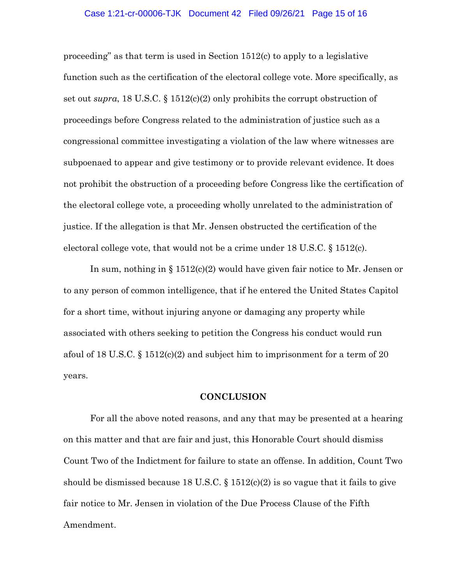#### Case 1:21-cr-00006-TJK Document 42 Filed 09/26/21 Page 15 of 16

proceeding" as that term is used in Section 1512(c) to apply to a legislative function such as the certification of the electoral college vote. More specifically, as set out *supra*, 18 U.S.C. § 1512(c)(2) only prohibits the corrupt obstruction of proceedings before Congress related to the administration of justice such as a congressional committee investigating a violation of the law where witnesses are subpoenaed to appear and give testimony or to provide relevant evidence. It does not prohibit the obstruction of a proceeding before Congress like the certification of the electoral college vote, a proceeding wholly unrelated to the administration of justice. If the allegation is that Mr. Jensen obstructed the certification of the electoral college vote, that would not be a crime under  $18 \text{ U.S.C.} \$   $1512(c)$ .

In sum, nothing in § 1512(c)(2) would have given fair notice to Mr. Jensen or to any person of common intelligence, that if he entered the United States Capitol for a short time, without injuring anyone or damaging any property while associated with others seeking to petition the Congress his conduct would run afoul of 18 U.S.C. § 1512(c)(2) and subject him to imprisonment for a term of 20 years.

### **CONCLUSION**

For all the above noted reasons, and any that may be presented at a hearing on this matter and that are fair and just, this Honorable Court should dismiss Count Two of the Indictment for failure to state an offense. In addition, Count Two should be dismissed because 18 U.S.C.  $\S$  1512(c)(2) is so vague that it fails to give fair notice to Mr. Jensen in violation of the Due Process Clause of the Fifth Amendment.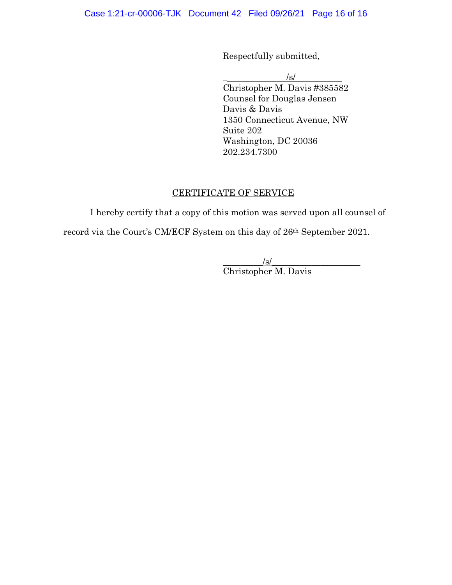Respectfully submitted,

 $\overline{\phantom{a}}$  /s/

Christopher M. Davis #385582 Counsel for Douglas Jensen Davis & Davis 1350 Connecticut Avenue, NW Suite 202 Washington, DC 20036 202.234.7300

# CERTIFICATE OF SERVICE

I hereby certify that a copy of this motion was served upon all counsel of

record via the Court's CM/ECF System on this day of 26th September 2021.

 $\sqrt{s}$ / Christopher M. Davis